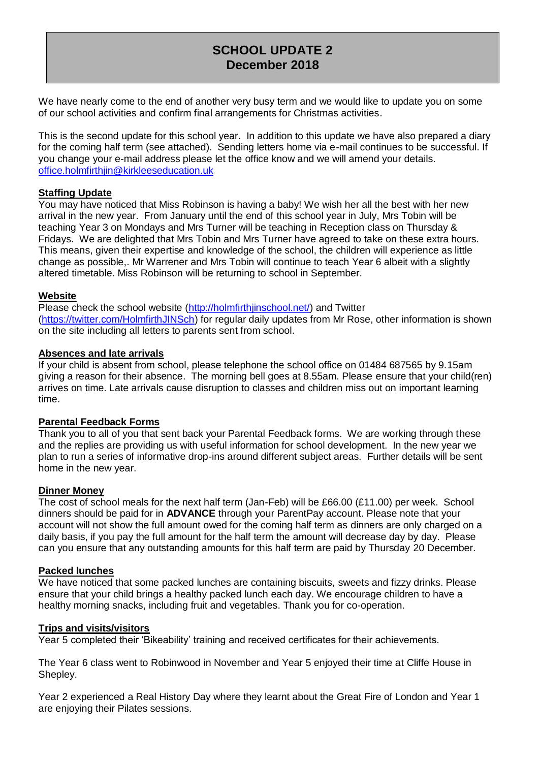# **SCHOOL UPDATE 2 December 2018**

We have nearly come to the end of another very busy term and we would like to update you on some of our school activities and confirm final arrangements for Christmas activities.

This is the second update for this school year. In addition to this update we have also prepared a diary for the coming half term (see attached). Sending letters home via e-mail continues to be successful. If you change your e-mail address please let the office know and we will amend your details. office.holmfirthjin@kirkleeseducation.uk

## **Staffing Update**

You may have noticed that Miss Robinson is having a baby! We wish her all the best with her new arrival in the new year. From January until the end of this school year in July, Mrs Tobin will be teaching Year 3 on Mondays and Mrs Turner will be teaching in Reception class on Thursday & Fridays. We are delighted that Mrs Tobin and Mrs Turner have agreed to take on these extra hours. This means, given their expertise and knowledge of the school, the children will experience as little change as possible,. Mr Warrener and Mrs Tobin will continue to teach Year 6 albeit with a slightly altered timetable. Miss Robinson will be returning to school in September.

#### **Website**

Please check the school website [\(http://holmfirthjinschool.net/\)](http://holmfirthjinschool.net/) and Twitter [\(https://twitter.com/HolmfirthJINSch\)](https://twitter.com/HolmfirthJINSch) for regular daily updates from Mr Rose, other information is shown on the site including all letters to parents sent from school.

# **Absences and late arrivals**

If your child is absent from school, please telephone the school office on 01484 687565 by 9.15am giving a reason for their absence. The morning bell goes at 8.55am. Please ensure that your child(ren) arrives on time. Late arrivals cause disruption to classes and children miss out on important learning time.

# **Parental Feedback Forms**

Thank you to all of you that sent back your Parental Feedback forms. We are working through these and the replies are providing us with useful information for school development. In the new year we plan to run a series of informative drop-ins around different subject areas. Further details will be sent home in the new year.

#### **Dinner Money**

The cost of school meals for the next half term (Jan-Feb) will be £66.00 (£11.00) per week. School dinners should be paid for in **ADVANCE** through your ParentPay account. Please note that your account will not show the full amount owed for the coming half term as dinners are only charged on a daily basis, if you pay the full amount for the half term the amount will decrease day by day. Please can you ensure that any outstanding amounts for this half term are paid by Thursday 20 December.

#### **Packed lunches**

We have noticed that some packed lunches are containing biscuits, sweets and fizzy drinks. Please ensure that your child brings a healthy packed lunch each day. We encourage children to have a healthy morning snacks, including fruit and vegetables. Thank you for co-operation.

#### **Trips and visits/visitors**

Year 5 completed their 'Bikeability' training and received certificates for their achievements.

The Year 6 class went to Robinwood in November and Year 5 enjoyed their time at Cliffe House in Shepley.

Year 2 experienced a Real History Day where they learnt about the Great Fire of London and Year 1 are enjoying their Pilates sessions.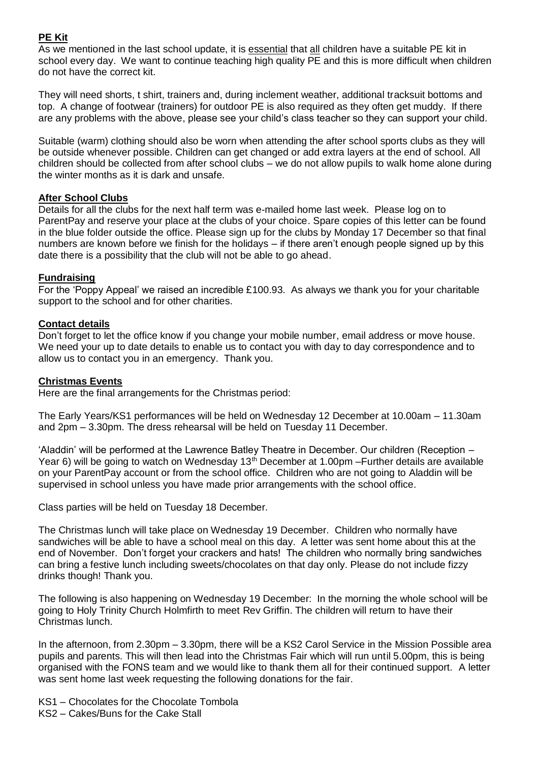# **PE Kit**

As we mentioned in the last school update, it is essential that all children have a suitable PE kit in school every day. We want to continue teaching high quality PE and this is more difficult when children do not have the correct kit.

They will need shorts, t shirt, trainers and, during inclement weather, additional tracksuit bottoms and top. A change of footwear (trainers) for outdoor PE is also required as they often get muddy. If there are any problems with the above, please see your child's class teacher so they can support your child.

Suitable (warm) clothing should also be worn when attending the after school sports clubs as they will be outside whenever possible. Children can get changed or add extra layers at the end of school. All children should be collected from after school clubs – we do not allow pupils to walk home alone during the winter months as it is dark and unsafe.

# **After School Clubs**

Details for all the clubs for the next half term was e-mailed home last week. Please log on to ParentPay and reserve your place at the clubs of your choice. Spare copies of this letter can be found in the blue folder outside the office. Please sign up for the clubs by Monday 17 December so that final numbers are known before we finish for the holidays – if there aren't enough people signed up by this date there is a possibility that the club will not be able to go ahead.

# **Fundraising**

For the 'Poppy Appeal' we raised an incredible £100.93. As always we thank you for your charitable support to the school and for other charities.

# **Contact details**

Don't forget to let the office know if you change your mobile number, email address or move house. We need your up to date details to enable us to contact you with day to day correspondence and to allow us to contact you in an emergency. Thank you.

# **Christmas Events**

Here are the final arrangements for the Christmas period:

The Early Years/KS1 performances will be held on Wednesday 12 December at 10.00am – 11.30am and 2pm – 3.30pm. The dress rehearsal will be held on Tuesday 11 December.

'Aladdin' will be performed at the Lawrence Batley Theatre in December. Our children (Reception – Year 6) will be going to watch on Wednesday 13<sup>th</sup> December at 1.00pm –Further details are available on your ParentPay account or from the school office. Children who are not going to Aladdin will be supervised in school unless you have made prior arrangements with the school office.

Class parties will be held on Tuesday 18 December.

The Christmas lunch will take place on Wednesday 19 December. Children who normally have sandwiches will be able to have a school meal on this day. A letter was sent home about this at the end of November. Don't forget your crackers and hats! The children who normally bring sandwiches can bring a festive lunch including sweets/chocolates on that day only. Please do not include fizzy drinks though! Thank you.

The following is also happening on Wednesday 19 December: In the morning the whole school will be going to Holy Trinity Church Holmfirth to meet Rev Griffin. The children will return to have their Christmas lunch.

In the afternoon, from 2.30pm – 3.30pm, there will be a KS2 Carol Service in the Mission Possible area pupils and parents. This will then lead into the Christmas Fair which will run until 5.00pm, this is being organised with the FONS team and we would like to thank them all for their continued support. A letter was sent home last week requesting the following donations for the fair.

- KS1 Chocolates for the Chocolate Tombola
- KS2 Cakes/Buns for the Cake Stall